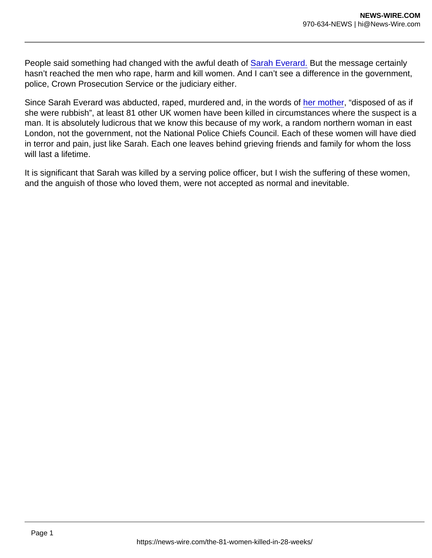People said something had changed with the awful death of [Sarah Everard.](https://www.theguardian.com/uk-news/2021/sep/30/sarah-everard-murder-wayne-couzens-whole-life-sentence) But the message certainly hasn't reached the men who rape, harm and kill women. And I can't see a difference in the government, police, Crown Prosecution Service or the judiciary either.

Since Sarah Everard was abducted, raped, murdered and, in the words of [her mother,](https://www.theguardian.com/uk-news/2021/sep/29/sarah-everard-family-haunted-by-the-horror-of-daughters-murder) "disposed of as if she were rubbish", at least 81 other UK women have been killed in circumstances where the suspect is a man. It is absolutely ludicrous that we know this because of my work, a random northern woman in east London, not the government, not the National Police Chiefs Council. Each of these women will have died in terror and pain, just like Sarah. Each one leaves behind grieving friends and family for whom the loss will last a lifetime.

It is significant that Sarah was killed by a serving police officer, but I wish the suffering of these women, and the anguish of those who loved them, were not accepted as normal and inevitable.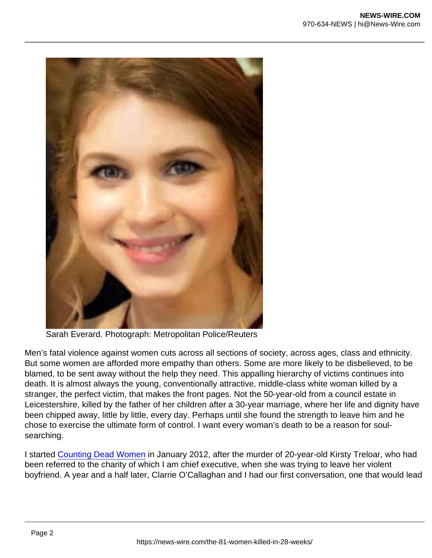Sarah Everard. Photograph: Metropolitan Police/Reuters

Men's fatal violence against women cuts across all sections of society, across ages, class and ethnicity. But some women are afforded more empathy than others. Some are more likely to be disbelieved, to be blamed, to be sent away without the help they need. This appalling hierarchy of victims continues into death. It is almost always the young, conventionally attractive, middle-class white woman killed by a stranger, the perfect victim, that makes the front pages. Not the 50-year-old from a council estate in Leicestershire, killed by the father of her children after a 30-year marriage, where her life and dignity have been chipped away, little by little, every day. Perhaps until she found the strength to leave him and he chose to exercise the ultimate form of control. I want every woman's death to be a reason for soulsearching.

I started [Counting Dead Women](https://kareningalasmith.com/counting-dead-women/) in January 2012, after the murder of 20-year-old Kirsty Treloar, who had been referred to the charity of which I am chief executive, when she was trying to leave her violent boyfriend. A year and a half later, Clarrie O'Callaghan and I had our first conversation, one that would lead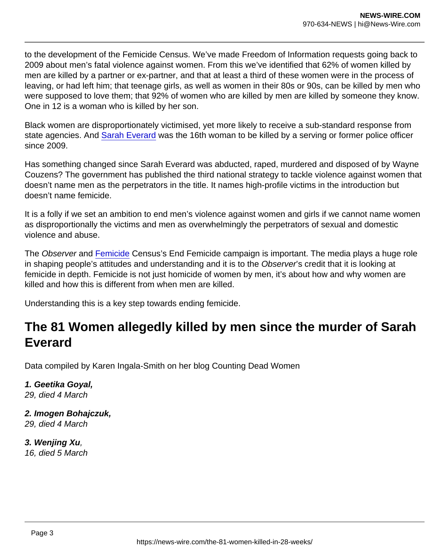to the development of the Femicide Census. We've made Freedom of Information requests going back to 2009 about men's fatal violence against women. From this we've identified that 62% of women killed by men are killed by a partner or ex-partner, and that at least a third of these women were in the process of leaving, or had left him; that teenage girls, as well as women in their 80s or 90s, can be killed by men who were supposed to love them; that 92% of women who are killed by men are killed by someone they know. One in 12 is a woman who is killed by her son.

Black women are disproportionately victimised, yet more likely to receive a sub-standard response from state agencies. And [Sarah Everard](https://www.theguardian.com/uk-news/sarah-everard) was the 16th woman to be killed by a serving or former police officer since 2009.

Has something changed since Sarah Everard was abducted, raped, murdered and disposed of by Wayne Couzens? The government has published the third national strategy to tackle violence against women that doesn't name men as the perpetrators in the title. It names high-profile victims in the introduction but doesn't name femicide.

It is a folly if we set an ambition to end men's violence against women and girls if we cannot name women as disproportionally the victims and men as overwhelmingly the perpetrators of sexual and domestic violence and abuse.

The Observer and [Femicide](https://www.theguardian.com/society/femicide) Census's End Femicide campaign is important. The media plays a huge role in shaping people's attitudes and understanding and it is to the Observer's credit that it is looking at femicide in depth. Femicide is not just homicide of women by men, it's about how and why women are killed and how this is different from when men are killed.

Understanding this is a key step towards ending femicide.

# The 81 Women allegedly killed by men since the murder of Sarah Everard

Data compiled by Karen Ingala-Smith on her blog Counting Dead Women

1. Geetika Goyal, 29, died 4 March

2. Imogen Bohajczuk, 29, died 4 March

3. Wenjing Xu , 16, died 5 March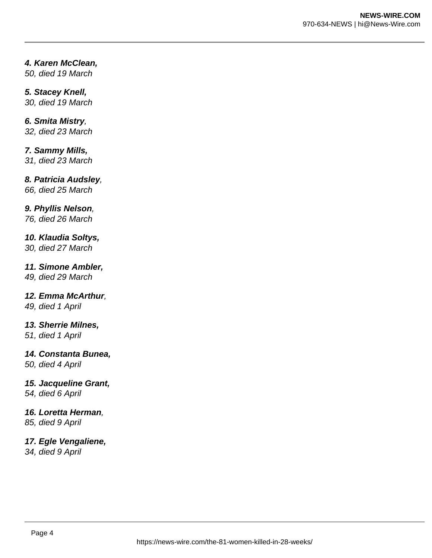## **4. Karen McClean,**

50, died 19 March

## **5. Stacey Knell,**

30, died 19 March

## **6. Smita Mistry**,

32, died 23 March

## **7. Sammy Mills,**

31, died 23 March

## **8. Patricia Audsley**,

66, died 25 March

#### **9. Phyllis Nelson**,

76, died 26 March

#### **10. Klaudia Soltys,**

30, died 27 March

#### **11. Simone Ambler,**

49, died 29 March

#### **12. Emma McArthur**,

49, died 1 April

#### **13. Sherrie Milnes,**

51, died 1 April

#### **14. Constanta Bunea,**

50, died 4 April

#### **15. Jacqueline Grant,**

54, died 6 April

#### **16. Loretta Herman**,

85, died 9 April

## **17. Egle Vengaliene,**

34, died 9 April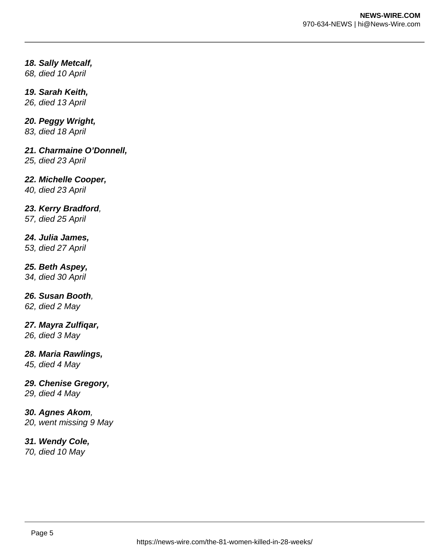#### **18. Sally Metcalf,**

68, died 10 April

#### **19. Sarah Keith,**

26, died 13 April

#### **20. Peggy Wright,**

83, died 18 April

#### **21. Charmaine O'Donnell,**

25, died 23 April

#### **22. Michelle Cooper,**

40, died 23 April

#### **23. Kerry Bradford**,

57, died 25 April

#### **24. Julia James,**

53, died 27 April

#### **25. Beth Aspey,**

34, died 30 April

## **26. Susan Booth**,

62, died 2 May

#### **27. Mayra Zulfiqar,**

26, died 3 May

#### **28. Maria Rawlings,**

45, died 4 May

#### **29. Chenise Gregory,**

29, died 4 May

#### **30. Agnes Akom**,

20, went missing 9 May

#### **31. Wendy Cole,**

70, died 10 May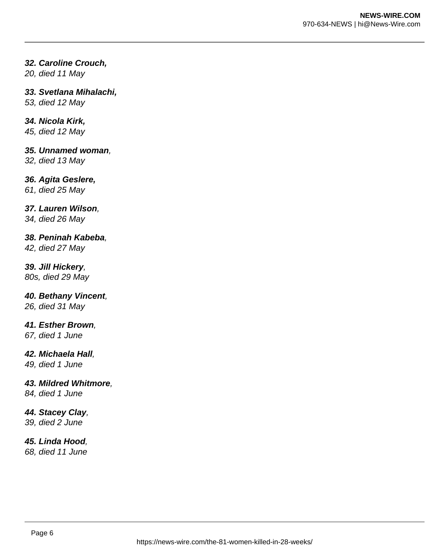#### **32. Caroline Crouch,**

20, died 11 May

#### **33. Svetlana Mihalachi,**

53, died 12 May

#### **34. Nicola Kirk,**

45, died 12 May

#### **35. Unnamed woman**,

32, died 13 May

#### **36. Agita Geslere,**

61, died 25 May

#### **37. Lauren Wilson**,

34, died 26 May

#### **38. Peninah Kabeba**,

42, died 27 May

#### **39. Jill Hickery**,

80s, died 29 May

#### **40. Bethany Vincent**,

26, died 31 May

#### **41. Esther Brown**,

67, died 1 June

#### **42. Michaela Hall**,

49, died 1 June

## **43. Mildred Whitmore**,

84, died 1 June

## **44. Stacey Clay**,

39, died 2 June

#### **45. Linda Hood**,

68, died 11 June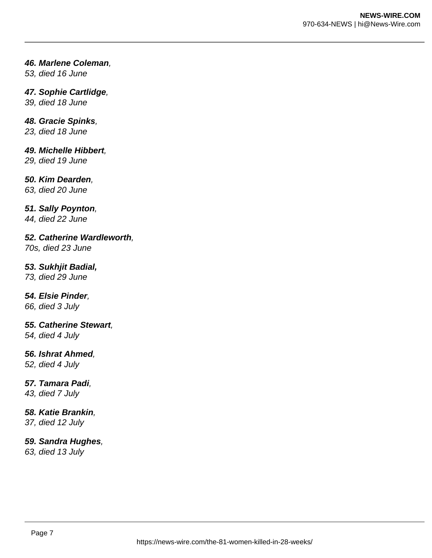#### **46. Marlene Coleman**,

53, died 16 June

#### **47. Sophie Cartlidge**,

39, died 18 June

#### **48. Gracie Spinks**,

23, died 18 June

## **49. Michelle Hibbert**,

29, died 19 June

#### **50. Kim Dearden**,

63, died 20 June

#### **51. Sally Poynton**,

44, died 22 June

**52. Catherine Wardleworth**, 70s, died 23 June

#### **53. Sukhjit Badial,**

73, died 29 June

#### **54. Elsie Pinder**,

66, died 3 July

#### **55. Catherine Stewart**,

54, died 4 July

#### **56. Ishrat Ahmed**,

52, died 4 July

#### **57. Tamara Padi**,

43, died 7 July

#### **58. Katie Brankin**,

37, died 12 July

#### **59. Sandra Hughes**,

63, died 13 July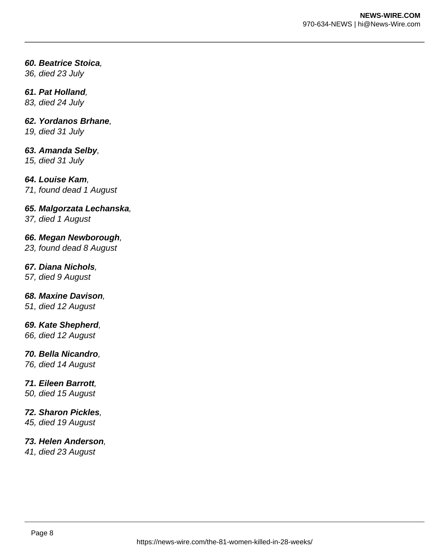#### **60. Beatrice Stoica**,

36, died 23 July

#### **61. Pat Holland**,

83, died 24 July

#### **62. Yordanos Brhane**,

19, died 31 July

#### **63. Amanda Selby**,

15, died 31 July

#### **64. Louise Kam**,

71, found dead 1 August

#### **65. Malgorzata Lechanska**,

37, died 1 August

#### **66. Megan Newborough**,

23, found dead 8 August

#### **67. Diana Nichols**,

57, died 9 August

#### **68. Maxine Davison**,

51, died 12 August

## **69. Kate Shepherd**,

66, died 12 August

#### **70. Bella Nicandro**,

76, died 14 August

## **71. Eileen Barrott**,

50, died 15 August

#### **72. Sharon Pickles**,

45, died 19 August

#### **73. Helen Anderson**,

41, died 23 August